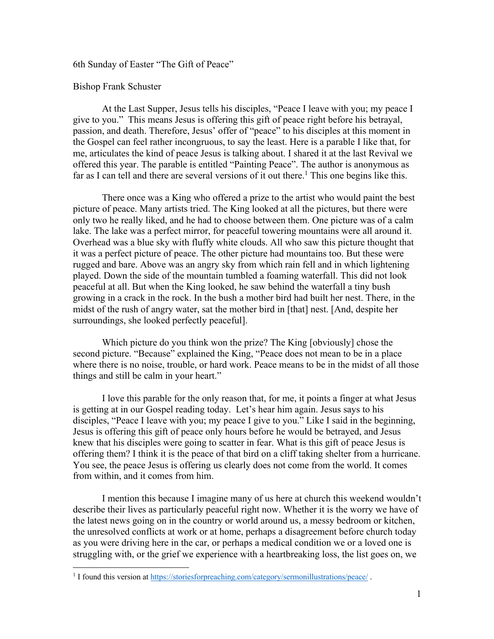6th Sunday of Easter "The Gift of Peace"

Bishop Frank Schuster

At the Last Supper, Jesus tells his disciples, "Peace I leave with you; my peace I give to you." This means Jesus is offering this gift of peace right before his betrayal, passion, and death. Therefore, Jesus' offer of "peace" to his disciples at this moment in the Gospel can feel rather incongruous, to say the least. Here is a parable I like that, for me, articulates the kind of peace Jesus is talking about. I shared it at the last Revival we offered this year. The parable is entitled "Painting Peace". The author is anonymous as far as I can tell and there are several versions of it out there.<sup>1</sup> This one begins like this.

There once was a King who offered a prize to the artist who would paint the best picture of peace. Many artists tried. The King looked at all the pictures, but there were only two he really liked, and he had to choose between them. One picture was of a calm lake. The lake was a perfect mirror, for peaceful towering mountains were all around it. Overhead was a blue sky with fluffy white clouds. All who saw this picture thought that it was a perfect picture of peace. The other picture had mountains too. But these were rugged and bare. Above was an angry sky from which rain fell and in which lightening played. Down the side of the mountain tumbled a foaming waterfall. This did not look peaceful at all. But when the King looked, he saw behind the waterfall a tiny bush growing in a crack in the rock. In the bush a mother bird had built her nest. There, in the midst of the rush of angry water, sat the mother bird in [that] nest. [And, despite her surroundings, she looked perfectly peaceful].

Which picture do you think won the prize? The King [obviously] chose the second picture. "Because" explained the King, "Peace does not mean to be in a place where there is no noise, trouble, or hard work. Peace means to be in the midst of all those things and still be calm in your heart."

I love this parable for the only reason that, for me, it points a finger at what Jesus is getting at in our Gospel reading today. Let's hear him again. Jesus says to his disciples, "Peace I leave with you; my peace I give to you." Like I said in the beginning, Jesus is offering this gift of peace only hours before he would be betrayed, and Jesus knew that his disciples were going to scatter in fear. What is this gift of peace Jesus is offering them? I think it is the peace of that bird on a cliff taking shelter from a hurricane. You see, the peace Jesus is offering us clearly does not come from the world. It comes from within, and it comes from him.

I mention this because I imagine many of us here at church this weekend wouldn't describe their lives as particularly peaceful right now. Whether it is the worry we have of the latest news going on in the country or world around us, a messy bedroom or kitchen, the unresolved conflicts at work or at home, perhaps a disagreement before church today as you were driving here in the car, or perhaps a medical condition we or a loved one is struggling with, or the grief we experience with a heartbreaking loss, the list goes on, we

<sup>&</sup>lt;sup>1</sup> I found this version at https://storiesforpreaching.com/category/sermonillustrations/peace/.